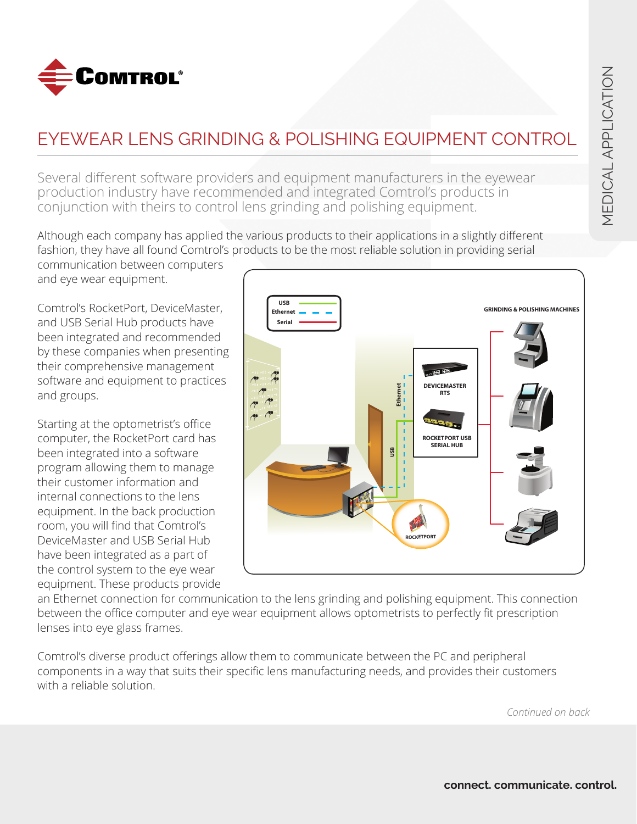

## EYEWEAR LENS GRINDING & POLISHING EQUIPMENT CONTROL

Several different software providers and equipment manufacturers in the eyewear production industry have recommended and integrated Comtrol's products in conjunction with theirs to control lens grinding and polishing equipment.

Although each company has applied the various products to their applications in a slightly different fashion, they have all found Comtrol's products to be the most reliable solution in providing serial

communication between computers and eye wear equipment.

Comtrol's RocketPort, DeviceMaster, and USB Serial Hub products have been integrated and recommended by these companies when presenting their comprehensive management software and equipment to practices and groups.

Starting at the optometrist's office computer, the RocketPort card has been integrated into a software program allowing them to manage their customer information and internal connections to the lens equipment. In the back production room, you will find that Comtrol's DeviceMaster and USB Serial Hub have been integrated as a part of the control system to the eye wear equipment. These products provide



an Ethernet connection for communication to the lens grinding and polishing equipment. This connection between the office computer and eye wear equipment allows optometrists to perfectly fit prescription lenses into eye glass frames.

Comtrol's diverse product offerings allow them to communicate between the PC and peripheral components in a way that suits their specific lens manufacturing needs, and provides their customers with a reliable solution.

*Continued on back*